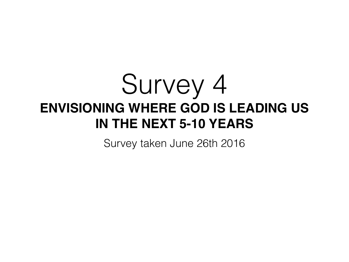# Survey 4 **ENVISIONING WHERE GOD IS LEADING US IN THE NEXT 5-10 YEARS**

Survey taken June 26th 2016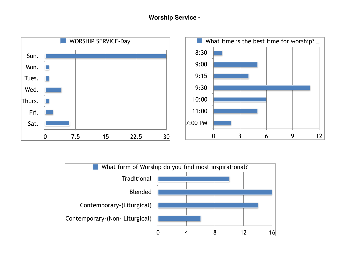

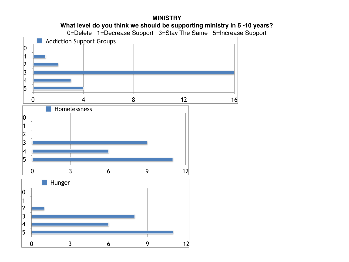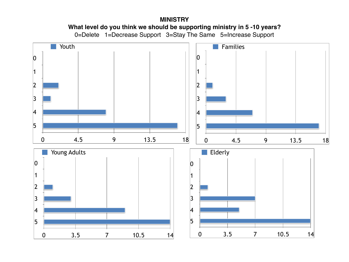## **MINISTRY What level do you think we should be supporting ministry in 5 -10 years?** 0=Delete 1=Decrease Support 3=Stay The Same 5=Increase Support

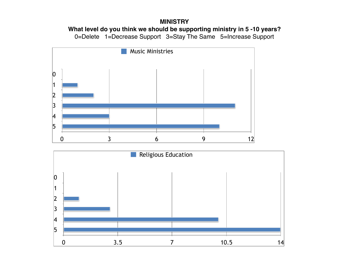#### **MINISTRY**

**What level do you think we should be supporting ministry in 5 -10 years?**

0=Delete 1=Decrease Support 3=Stay The Same 5=Increase Support



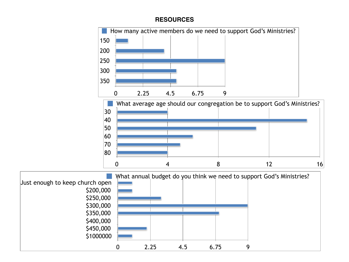## **RESOURCES**

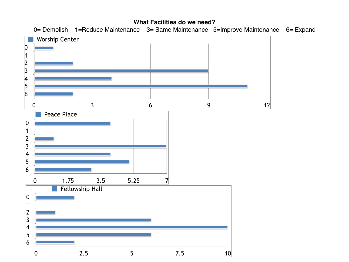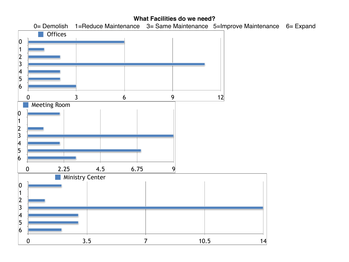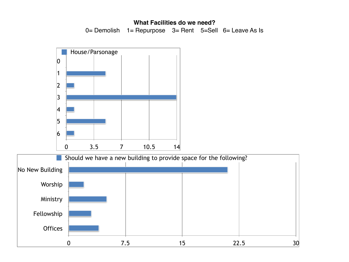## **What Facilities do we need?**

0= Demolish 1 = Repurpose 3 = Rent 5=Sell 6 = Leave As Is